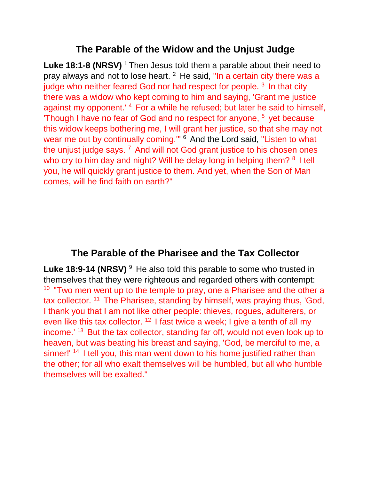## **The Parable of the Widow and the Unjust Judge**

**Luke 18:1-8 (NRSV)** <sup>1</sup> Then Jesus told them a parable about their need to pray always and not to lose heart.  $2$  He said, "In a certain city there was a judge who neither feared God nor had respect for people.  $3$  In that city there was a widow who kept coming to him and saying, 'Grant me justice against my opponent.<sup>'</sup> 4 For a while he refused; but later he said to himself, 'Though I have no fear of God and no respect for anyone, <sup>5</sup> yet because this widow keeps bothering me, I will grant her justice, so that she may not wear me out by continually coming." <sup>6</sup> And the Lord said, "Listen to what the unjust judge says.  $7$  And will not God grant justice to his chosen ones who cry to him day and night? Will he delay long in helping them?  $8$  I tell you, he will quickly grant justice to them. And yet, when the Son of Man comes, will he find faith on earth?"

## **The Parable of the Pharisee and the Tax Collector**

**Luke 18:9-14 (NRSV)** <sup>9</sup> He also told this parable to some who trusted in themselves that they were righteous and regarded others with contempt:  $10$  "Two men went up to the temple to pray, one a Pharisee and the other a tax collector. <sup>11</sup> The Pharisee, standing by himself, was praying thus, 'God, I thank you that I am not like other people: thieves, rogues, adulterers, or even like this tax collector.  $12$  I fast twice a week; I give a tenth of all my income.<sup>' 13</sup> But the tax collector, standing far off, would not even look up to heaven, but was beating his breast and saying, 'God, be merciful to me, a sinner!' <sup>14</sup> I tell you, this man went down to his home justified rather than the other; for all who exalt themselves will be humbled, but all who humble themselves will be exalted."